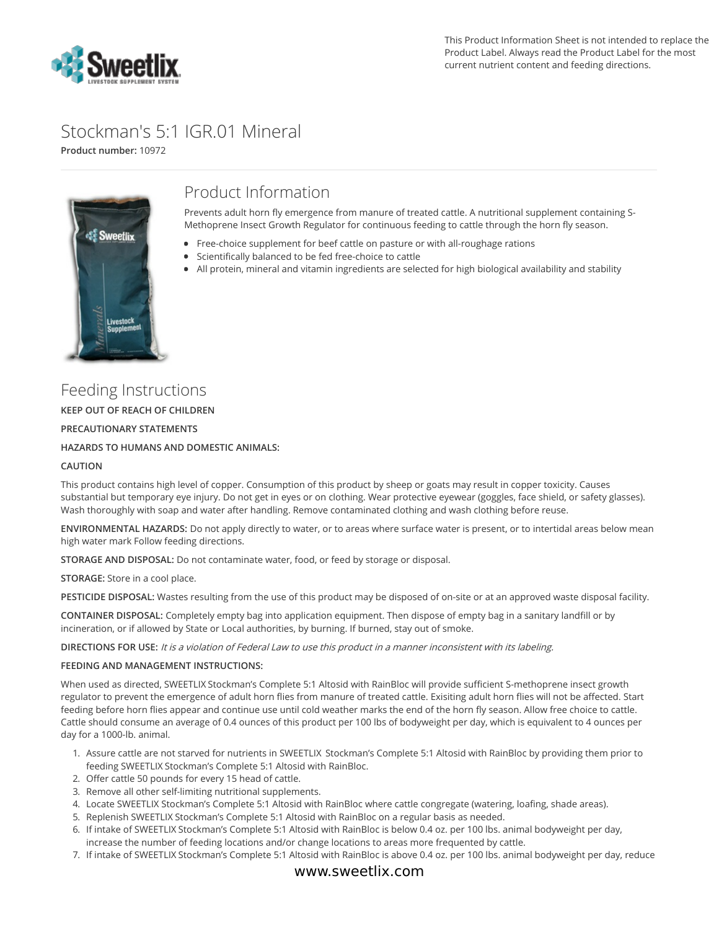

# Stockman's 5:1 IGR.01 Mineral

**Product number:** 10972



## Product Information

Prevents adult horn fly emergence from manure of treated cattle. A nutritional supplement containing S-Methoprene Insect Growth Regulator for continuous feeding to cattle through the horn fly season.

- Free-choice supplement for beef cattle on pasture or with all-roughage rations
- **Scientifically balanced to be fed free-choice to cattle**
- All protein, mineral and vitamin ingredients are selected for high biological availability and stability

Feeding Instructions **KEEP OUT OF REACH OF CHILDREN PRECAUTIONARY STATEMENTS HAZARDS TO HUMANS AND DOMESTIC ANIMALS:**

#### **CAUTION**

This product contains high level of copper. Consumption of this product by sheep or goats may result in copper toxicity. Causes substantial but temporary eye injury. Do not get in eyes or on clothing. Wear protective eyewear (goggles, face shield, or safety glasses). Wash thoroughly with soap and water after handling. Remove contaminated clothing and wash clothing before reuse.

**ENVIRONMENTAL HAZARDS:** Do not apply directly to water, or to areas where surface water is present, or to intertidal areas below mean high water mark Follow feeding directions.

**STORAGE AND DISPOSAL:** Do not contaminate water, food, or feed by storage or disposal.

**STORAGE:** Store in a cool place.

**PESTICIDE DISPOSAL:** Wastes resulting from the use of this product may be disposed of on-site or at an approved waste disposal facility.

**CONTAINER DISPOSAL:** Completely empty bag into application equipment. Then dispose of empty bag in a sanitary landfill or by incineration, or if allowed by State or Local authorities, by burning. If burned, stay out of smoke.

**DIRECTIONS FOR USE:** It is <sup>a</sup> violation of Federal Law to use this product in <sup>a</sup> manner inconsistent with its labeling.

#### **FEEDING AND MANAGEMENT INSTRUCTIONS:**

When used as directed, SWEETLIX Stockman's Complete 5:1 Altosid with RainBloc will provide sufficient S-methoprene insect growth regulator to prevent the emergence of adult horn flies from manure of treated cattle. Exisiting adult horn flies will not be affected. Start feeding before horn flies appear and continue use until cold weather marks the end of the horn fly season. Allow free choice to cattle. Cattle should consume an average of 0.4 ounces of this product per 100 lbs of bodyweight per day, which is equivalent to 4 ounces per day for a 1000-lb. animal.

- 1. Assure cattle are not starved for nutrients in SWEETLIX Stockman's Complete 5:1 Altosid with RainBloc by providing them prior to feeding SWEETLIX Stockman's Complete 5:1 Altosid with RainBloc.
- 2. Offer cattle 50 pounds for every 15 head of cattle.
- 3. Remove all other self-limiting nutritional supplements.
- 4. Locate SWEETLIX Stockman's Complete 5:1 Altosid with RainBloc where cattle congregate (watering, loafing, shade areas).
- 5. Replenish SWEETLIX Stockman's Complete 5:1 Altosid with RainBloc on a regular basis as needed.
- 6. If intake of SWEETLIX Stockman's Complete 5:1 Altosid with RainBloc is below 0.4 oz. per 100 lbs. animal bodyweight per day, increase the number of feeding locations and/or change locations to areas more frequented by cattle.
- 7. If intake of SWEETLIX Stockman's Complete 5:1 Altosid with RainBloc is above 0.4 oz. per 100 lbs. animal bodyweight per day, reduce

### www.sweetlix.com